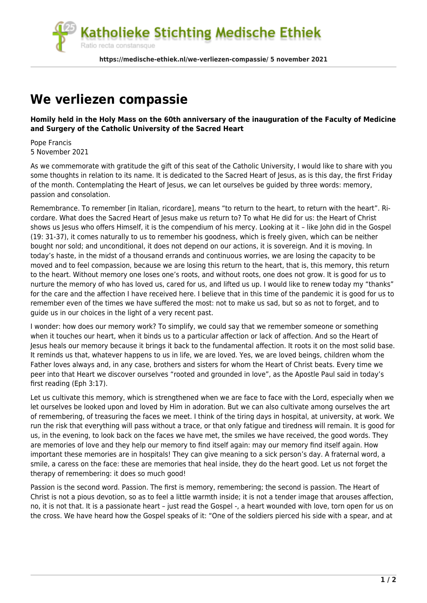

## **[We verliezen compassie](https://medische-ethiek.nl/we-verliezen-compassie/)**

## **Homily held in the Holy Mass on the 60th anniversary of the inauguration of the Faculty of Medicine and Surgery of the Catholic University of the Sacred Heart**

Pope Francis 5 November 2021

As we commemorate with gratitude the gift of this seat of the Catholic University, I would like to share with you some thoughts in relation to its name. It is dedicated to the Sacred Heart of Jesus, as is this day, the first Friday of the month. Contemplating the Heart of Jesus, we can let ourselves be guided by three words: memory, passion and consolation.

Remembrance. To remember [in Italian, ricordare], means "to return to the heart, to return with the heart". Ricordare. What does the Sacred Heart of Jesus make us return to? To what He did for us: the Heart of Christ shows us Jesus who offers Himself, it is the compendium of his mercy. Looking at it – like John did in the Gospel (19: 31-37), it comes naturally to us to remember his goodness, which is freely given, which can be neither bought nor sold; and unconditional, it does not depend on our actions, it is sovereign. And it is moving. In today's haste, in the midst of a thousand errands and continuous worries, we are losing the capacity to be moved and to feel compassion, because we are losing this return to the heart, that is, this memory, this return to the heart. Without memory one loses one's roots, and without roots, one does not grow. It is good for us to nurture the memory of who has loved us, cared for us, and lifted us up. I would like to renew today my "thanks" for the care and the affection I have received here. I believe that in this time of the pandemic it is good for us to remember even of the times we have suffered the most: not to make us sad, but so as not to forget, and to guide us in our choices in the light of a very recent past.

I wonder: how does our memory work? To simplify, we could say that we remember someone or something when it touches our heart, when it binds us to a particular affection or lack of affection. And so the Heart of Jesus heals our memory because it brings it back to the fundamental affection. It roots it on the most solid base. It reminds us that, whatever happens to us in life, we are loved. Yes, we are loved beings, children whom the Father loves always and, in any case, brothers and sisters for whom the Heart of Christ beats. Every time we peer into that Heart we discover ourselves "rooted and grounded in love", as the Apostle Paul said in today's first reading (Eph 3:17).

Let us cultivate this memory, which is strengthened when we are face to face with the Lord, especially when we let ourselves be looked upon and loved by Him in adoration. But we can also cultivate among ourselves the art of remembering, of treasuring the faces we meet. I think of the tiring days in hospital, at university, at work. We run the risk that everything will pass without a trace, or that only fatigue and tiredness will remain. It is good for us, in the evening, to look back on the faces we have met, the smiles we have received, the good words. They are memories of love and they help our memory to find itself again: may our memory find itself again. How important these memories are in hospitals! They can give meaning to a sick person's day. A fraternal word, a smile, a caress on the face: these are memories that heal inside, they do the heart good. Let us not forget the therapy of remembering: it does so much good!

Passion is the second word. Passion. The first is memory, remembering; the second is passion. The Heart of Christ is not a pious devotion, so as to feel a little warmth inside; it is not a tender image that arouses affection, no, it is not that. It is a passionate heart – just read the Gospel -, a heart wounded with love, torn open for us on the cross. We have heard how the Gospel speaks of it: "One of the soldiers pierced his side with a spear, and at